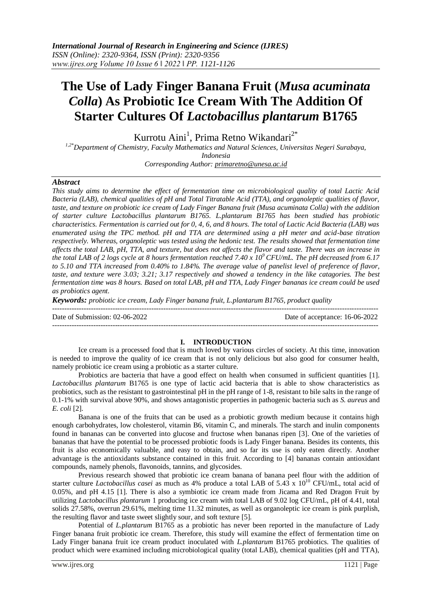# **The Use of Lady Finger Banana Fruit (***Musa acuminata Colla***) As Probiotic Ice Cream With The Addition Of Starter Cultures Of** *Lactobacillus plantarum* **B1765**

Kurrotu Aini<sup>1</sup>, Prima Retno Wikandari<sup>2\*</sup>

*1,2\*Department of Chemistry, Faculty Mathematics and Natural Sciences, Universitas Negeri Surabaya, Indonesia*

*Corresponding Author: [primaretno@unesa.ac.id](mailto:primaretno@unesa.ac.id)*

## *Abstract*

*This study aims to determine the effect of fermentation time on microbiological quality of total Lactic Acid Bacteria (LAB), chemical qualities of pH and Total Titratable Acid (TTA), and organoleptic qualities of flavor, taste, and texture on probiotic ice cream of Lady Finger Banana fruit (Musa acuminata Colla) with the addition of starter culture Lactobacillus plantarum B1765. L.plantarum B1765 has been studied has probiotic characteristics. Fermentation is carried out for 0, 4, 6, and 8 hours. The total of Lactic Acid Bacteria (LAB) was enumerated using the TPC method. pH and TTA are determined using a pH meter and acid-base titration respectively. Whereas, organoleptic was tested using the hedonic test. The results showed that fermentation time affects the total LAB, pH, TTA, and texture, but does not affects the flavor and taste. There was an increase in the total LAB of 2 logs cycle at 8 hours fermentation reached 7.40 x 10<sup>9</sup>CFU/mL. The pH decreased from 6.17 to 5.10 and TTA increased from 0.40% to 1.84%. The average value of panelist level of preference of flavor, taste, and texture were 3.03; 3.21; 3.17 respectively and showed a tendency in the like catagories. The best fermentation time was 8 hours. Based on total LAB, pH and TTA, Lady Finger bananas ice cream could be used as probiotics agent.*

*Keywords: probiotic ice cream, Lady Finger banana fruit, L.plantarum B1765, product quality*

 $-1\leq i\leq n-1$ Date of Submission: 02-06-2022 Date of acceptance: 16-06-2022

---------------------------------------------------------------------------------------------------------------------------------------

### **I. INTRODUCTION**

Ice cream is a processed food that is much loved by various circles of society. At this time, innovation is needed to improve the quality of ice cream that is not only delicious but also good for consumer health, namely probiotic ice cream using a probiotic as a starter culture.

Probiotics are bacteria that have a good effect on health when consumed in sufficient quantities [1]. *Lactobacillus plantarum* B1765 is one type of lactic acid bacteria that is able to show characteristics as probiotics, such as the resistant to gastrointestinal pH in the pH range of 1-8, resistant to bile salts in the range of 0.1-1% with survival above 90%, and shows antagonistic properties in pathogenic bacteria such as *S. aureus* and *E. coli* [2].

Banana is one of the fruits that can be used as a probiotic growth medium because it contains high enough carbohydrates, low cholesterol, vitamin B6, vitamin C, and minerals. The starch and inulin components found in bananas can be converted into glucose and fructose when bananas ripen [3]. One of the varieties of bananas that have the potential to be processed probiotic foods is Lady Finger banana. Besides its contents, this fruit is also economically valuable, and easy to obtain, and so far its use is only eaten directly. Another advantage is the antioxidants substance contained in this fruit. According to [4] bananas contain antioxidant compounds, namely phenols, flavonoids, tannins, and glycosides.

Previous research showed that probiotic ice cream banana of banana peel flour with the addition of starter culture *Lactobacillus casei* as much as 4% produce a total LAB of 5.43 x 10<sup>10</sup> CFU/mL, total acid of 0.05%, and pH 4.15 [1]. There is also a symbiotic ice cream made from Jicama and Red Dragon Fruit by utilizing *Lactobacillus plantarum* 1 producing ice cream with total LAB of 9.02 log CFU/mL, pH of 4.41, total solids 27.58%, overrun 29.61%, melting time 11.32 minutes, as well as organoleptic ice cream is pink purplish, the resulting flavor and taste sweet slightly sour, and soft texture [5].

Potential of *L.plantarum* B1765 as a probiotic has never been reported in the manufacture of Lady Finger banana fruit probiotic ice cream. Therefore, this study will examine the effect of fermentation time on Lady Finger banana fruit ice cream product inoculated with *L.plantarum* B1765 probiotics. The qualities of product which were examined including microbiological quality (total LAB), chemical qualities (pH and TTA),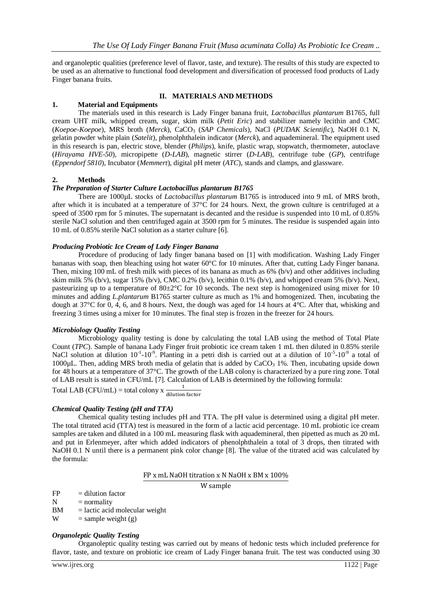and organoleptic qualities (preference level of flavor, taste, and texture). The results of this study are expected to be used as an alternative to functional food development and diversification of processed food products of Lady Finger banana fruits.

### **II. MATERIALS AND METHODS**

## **1. Material and Equipments**

The materials used in this research is Lady Finger banana fruit, *Lactobacillus plantarum* B1765, full cream UHT milk, whipped cream, sugar, skim milk (*Petit Eric*) and stabilizer namely lecithin and CMC (*Koepoe-Koepoe*), MRS broth (*Merck*), CaCO<sup>3</sup> (*SAP Chemicals*), NaCl (*PUDAK Scientific*), NaOH 0.1 N, gelatin powder white plain (*Satelit*), phenolphthalein indicator (*Merck*), and aquademineral. The equipment used in this research is pan, electric stove, blender (*Philips*), knife, plastic wrap, stopwatch, thermometer, autoclave (*Hirayama HVE-50*), micropipette (*D-LAB*), magnetic stirrer (*D-LAB*), centrifuge tube (*GP*), centrifuge (*Eppendorf 5810*), Incubator (*Memmert*), digital pH meter (*ATC*), stands and clamps, and glassware.

#### **2. Methods**

## *The Preparation of Starter Culture Lactobacillus plantarum B1765*

There are 1000µL stocks of *Lactobacillus plantarum* B1765 is introduced into 9 mL of MRS broth, after which it is incubated at a temperature of 37°C for 24 hours. Next, the grown culture is centrifuged at a speed of 3500 rpm for 5 minutes. The supernatant is decanted and the residue is suspended into 10 mL of 0.85% sterile NaCl solution and then centrifuged again at 3500 rpm for 5 minutes. The residue is suspended again into 10 mL of 0.85% sterile NaCl solution as a starter culture [6].

### *Producing Probiotic Ice Cream of Lady Finger Banana*

Procedure of producing of lady finger banana based on [1] with modification. Washing Lady Finger bananas with soap, then bleaching using hot water 60°C for 10 minutes. After that, cutting Lady Finger banana. Then, mixing 100 mL of fresh milk with pieces of its banana as much as  $6\%$  (b/v) and other additives including skim milk 5% (b/v), sugar 15% (b/v), CMC 0.2% (b/v), lecithin 0.1% (b/v), and whipped cream 5% (b/v). Next, pasteurizing up to a temperature of  $80\pm2\degree$ C for 10 seconds. The next step is homogenized using mixer for 10 minutes and adding *L.plantarum* B1765 starter culture as much as 1% and homogenized. Then, incubating the dough at 37°C for 0, 4, 6, and 8 hours. Next, the dough was aged for 14 hours at 4°C. After that, whisking and freezing 3 times using a mixer for 10 minutes. The final step is frozen in the freezer for 24 hours.

#### *Microbiology Quality Testing*

Microbiology quality testing is done by calculating the total LAB using the method of Total Plate Count (*TPC*). Sample of banana Lady Finger fruit probiotic ice cream taken 1 mL then diluted in 0.85% sterile NaCl solution at dilution  $10^{-1}$ - $10^{-9}$ . Planting in a petri dish is carried out at a dilution of  $10^{-5}$ - $10^{-9}$  a total of 1000 $\mu$ L. Then, adding MRS broth media of gelatin that is added by CaCO<sub>3</sub> 1%. Then, incubating upside down for 48 hours at a temperature of 37°C. The growth of the LAB colony is characterized by a pure ring zone. Total of LAB result is stated in CFU/mL [7]. Calculation of LAB is determined by the following formula:

Total LAB (CFU/mL) = total colony x  $\frac{1}{d}$ 

#### *Chemical Quality Testing (pH and TTA)*

Chemical quality testing includes pH and TTA. The pH value is determined using a digital pH meter. The total titrated acid (TTA) test is measured in the form of a lactic acid percentage. 10 mL probiotic ice cream samples are taken and diluted in a 100 mL measuring flask with aquademineral, then pipetted as much as 20 mL and put in Erlenmeyer, after which added indicators of phenolphthalein a total of 3 drops, then titrated with NaOH 0.1 N until there is a permanent pink color change [8]. The value of the titrated acid was calculated by the formula:

#### FP x mL NaOH titration x N NaOH x BM x 100%

W sample

 $FP = dilution factor$ 

 $N = normality$ 

 $BM = *lactic acid molecular weight*$ 

W = sample weight (g)

### *Organoleptic Quality Testing*

Organoleptic quality testing was carried out by means of hedonic tests which included preference for flavor, taste, and texture on probiotic ice cream of Lady Finger banana fruit. The test was conducted using 30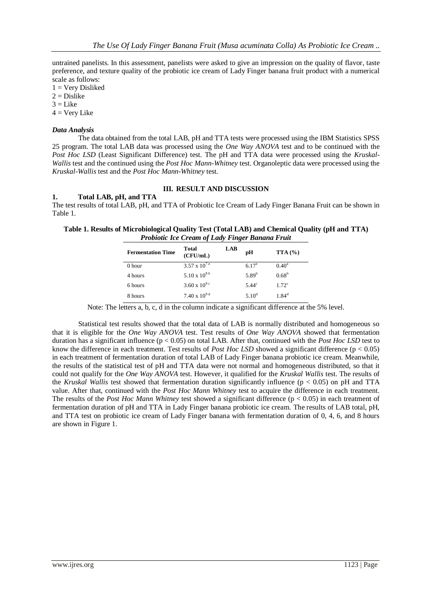untrained panelists. In this assessment, panelists were asked to give an impression on the quality of flavor, taste preference, and texture quality of the probiotic ice cream of Lady Finger banana fruit product with a numerical scale as follows:

 $1 =$  Very Disliked

 $2 = Distike$ 

 $3 =$ Like

 $4 = V$ ery Like

### *Data Analysis*

The data obtained from the total LAB, pH and TTA tests were processed using the IBM Statistics SPSS 25 program. The total LAB data was processed using the *One Way ANOVA* test and to be continued with the *Post Hoc LSD* (Least Significant Difference) test. The pH and TTA data were processed using the *Kruskal-Wallis* test and the continued using the *Post Hoc Mann-Whitney* test. Organoleptic data were processed using the *Kruskal-Wallis* test and the *Post Hoc Mann-Whitney* test.

## **III. RESULT AND DISCUSSION**

## **1. Total LAB, pH, and TTA**

The test results of total LAB, pH, and TTA of Probiotic Ice Cream of Lady Finger Banana Fruit can be shown in Table 1.

**Table 1. Results of Microbiological Quality Test (Total LAB) and Chemical Quality (pH and TTA)**  *Probiotic Ice Cream of Lady Finger Banana Fruit*

| <b>Fermentation Time</b> | <b>Total</b><br>(CFU/mL)          | <b>LAB</b> | pH                | TTA(%)            |
|--------------------------|-----------------------------------|------------|-------------------|-------------------|
| $0$ hour                 | $3.57 \times 10^{7}$ <sup>a</sup> |            | 6.17 <sup>a</sup> | $0.40^a$          |
| 4 hours                  | $5.10 \times 10^{8}$              |            | 5.89 <sup>b</sup> | 0.68 <sup>b</sup> |
| 6 hours                  | $3.60 \times 10^{9}$              |            | $5.44^{\circ}$    | 1.72 <sup>c</sup> |
| 8 hours                  | $7.40 \times 10^{9 d}$            |            | 5.10 $^{d}$       | $1.84^d$          |

Note: The letters a, b, c, d in the column indicate a significant difference at the 5% level.

Statistical test results showed that the total data of LAB is normally distributed and homogeneous so that it is eligible for the *One Way ANOVA* test. Test results of *One Way ANOVA* showed that fermentation duration has a significant influence (p < 0.05) on total LAB. After that, continued with the *Post Hoc LSD* test to know the difference in each treatment. Test results of *Post Hoc LSD* showed a significant difference  $(p < 0.05)$ in each treatment of fermentation duration of total LAB of Lady Finger banana probiotic ice cream. Meanwhile, the results of the statistical test of pH and TTA data were not normal and homogeneous distributed, so that it could not qualify for the *One Way ANOVA* test. However, it qualified for the *Kruskal Wallis* test. The results of the *Kruskal Wallis* test showed that fermentation duration significantly influence (p < 0.05) on pH and TTA value. After that, continued with the *Post Hoc Mann Whitney* test to acquire the difference in each treatment. The results of the *Post Hoc Mann Whitney* test showed a significant difference ( $p < 0.05$ ) in each treatment of fermentation duration of pH and TTA in Lady Finger banana probiotic ice cream. The results of LAB total, pH, and TTA test on probiotic ice cream of Lady Finger banana with fermentation duration of 0, 4, 6, and 8 hours are shown in Figure 1.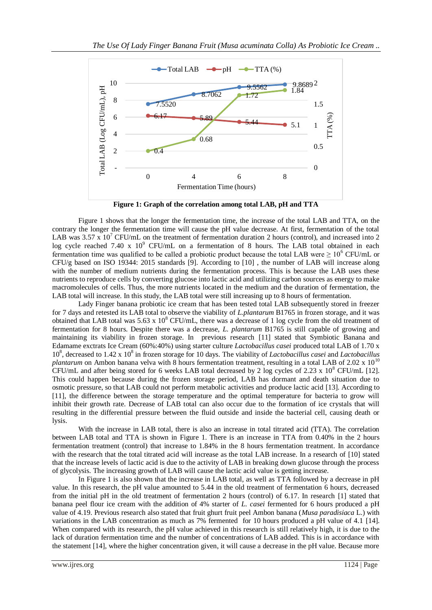

**Figure 1: Graph of the correlation among total LAB, pH and TTA**

Figure 1 shows that the longer the fermentation time, the increase of the total LAB and TTA, on the contrary the longer the fermentation time will cause the pH value decrease. At first, fermentation of the total LAB was 3.57 x 10<sup>7</sup> CFU/mL on the treatment of fermentation duration 2 hours (control), and increased into 2 log cycle reached 7.40 x  $10^9$  CFU/mL on a fermentation of 8 hours. The LAB total obtained in each fermentation time was qualified to be called a probiotic product because the total LAB were  $\geq 10^6$  CFU/mL or  $CFU/g$  based on ISO 19344: 2015 standards [9]. According to  $[10]$ , the number of LAB will increase along with the number of medium nutrients during the fermentation process. This is because the LAB uses these nutrients to reproduce cells by converting glucose into lactic acid and utilizing carbon sources as energy to make macromolecules of cells. Thus, the more nutrients located in the medium and the duration of fermentation, the LAB total will increase. In this study, the LAB total were still increasing up to 8 hours of fermentation.

Lady Finger banana probiotic ice cream that has been tested total LAB subsequently stored in freezer for 7 days and retested its LAB total to observe the viability of *L.plantarum* B1765 in frozen storage, and it was obtained that LAB total was  $5.63 \times 10^8$  CFU/mL, there was a decrease of 1 log cycle from the old treatment of fermentation for 8 hours. Despite there was a decrease, *L. plantarum* B1765 is still capable of growing and maintaining its viability in frozen storage. In previous research [11] stated that Symbiotic Banana and Edamame exctrats Ice Cream (60%:40%) using starter culture *Lactobacillus casei* produced total LAB of 1.70 x 10<sup>8</sup>, decreased to 1.42 x 10<sup>8</sup> in frozen storage for 10 days. The viability of *Lactobacillus casei* and *Lactobacillus plantarum* on Ambon banana velva with 8 hours fermentation treatment, resulting in a total LAB of 2.02 x  $10^{10}$ CFU/mL and after being stored for 6 weeks LAB total decreased by 2 log cycles of 2.23 x  $10^8$  CFU/mL [12]. This could happen because during the frozen storage period, LAB has dormant and death situation due to osmotic pressure, so that LAB could not perform metabolic activities and produce lactic acid [13]. According to [11], the difference between the storage temperature and the optimal temperature for bacteria to grow will inhibit their growth rate. Decrease of LAB total can also occur due to the formation of ice crystals that will resulting in the differential pressure between the fluid outside and inside the bacterial cell, causing death or lysis.

With the increase in LAB total, there is also an increase in total titrated acid (TTA). The correlation between LAB total and TTA is shown in Figure 1. There is an increase in TTA from 0.40% in the 2 hours fermentation treatment (control) that increase to 1.84% in the 8 hours fermentation treatment. In accordance with the research that the total titrated acid will increase as the total LAB increase. In a research of [10] stated that the increase levels of lactic acid is due to the activity of LAB in breaking down glucose through the process of glycolysis. The increasing growth of LAB will cause the lactic acid value is getting increase.

In Figure 1 is also shown that the increase in LAB total, as well as TTA followed by a decrease in pH value. In this research, the pH value amounted to 5.44 in the old treatment of fermentation 6 hours, decreased from the initial pH in the old treatment of fermentation 2 hours (control) of 6.17. In research [1] stated that banana peel flour ice cream with the addition of 4% starter of *L. casei* fermented for 6 hours produced a pH value of 4.19. Previous research also stated that fruit ghurt fruit peel Ambon banana (*Musa paradisiaca* L.) with variations in the LAB concentration as much as 7% fermented for 10 hours produced a pH value of 4.1 [14]. When compared with its research, the pH value achieved in this research is still relatively high, it is due to the lack of duration fermentation time and the number of concentrations of LAB added. This is in accordance with the statement [14], where the higher concentration given, it will cause a decrease in the pH value. Because more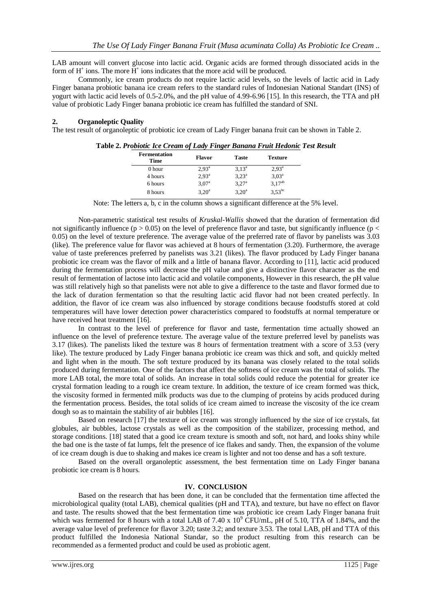LAB amount will convert glucose into lactic acid. Organic acids are formed through dissociated acids in the form of  $H^+$  ions. The more  $H^+$  ions indicates that the more acid will be produced.

Commonly, ice cream products do not require lactic acid levels, so the levels of lactic acid in Lady Finger banana probiotic banana ice cream refers to the standard rules of Indonesian National Standart (INS) of yogurt with lactic acid levels of 0.5-2.0%, and the pH value of 4.99-6.96 [15]. In this research, the TTA and pH value of probiotic Lady Finger banana probiotic ice cream has fulfilled the standard of SNI.

#### **2. Organoleptic Quality**

The test result of organoleptic of probiotic ice cream of Lady Finger banana fruit can be shown in Table 2.

| <b>Flavor</b>  | Taste          | <b>Texture</b> |
|----------------|----------------|----------------|
| $2.93^{\rm a}$ | $3.13^{a}$     | $2.93^{\rm a}$ |
| $2.93^{a}$     | $3,23^a$       | $3,03^{\rm a}$ |
| $3,07^{\rm a}$ | $3,27^{\rm a}$ | $3,17^{ab}$    |
| $3.20^{\circ}$ | $3.20^{\circ}$ | $3,53^{bc}$    |
|                |                |                |

**Table 2.** *Probiotic Ice Cream of Lady Finger Banana Fruit Hedonic Test Result*

Note: The letters a, b, c in the column shows a significant difference at the 5% level.

Non-parametric statistical test results of *Kruskal-Wallis* showed that the duration of fermentation did not significantly influence ( $p > 0.05$ ) on the level of preference flavor and taste, but significantly influence ( $p <$ 0.05) on the level of texture preference. The average value of the preferred rate of flavor by panelists was 3.03 (like). The preference value for flavor was achieved at 8 hours of fermentation (3.20). Furthermore, the average value of taste preferences preferred by panelists was 3.21 (likes). The flavor produced by Lady Finger banana probiotic ice cream was the flavor of milk and a little of banana flavor. According to [11], lactic acid produced during the fermentation process will decrease the pH value and give a distinctive flavor character as the end result of fermentation of lactose into lactic acid and volatile components, However in this research, the pH value was still relatively high so that panelists were not able to give a difference to the taste and flavor formed due to the lack of duration fermentation so that the resulting lactic acid flavor had not been created perfectly. In addition, the flavor of ice cream was also influenced by storage conditions because foodstuffs stored at cold temperatures will have lower detection power characteristics compared to foodstuffs at normal temperature or have received heat treatment [16].

In contrast to the level of preference for flavor and taste, fermentation time actually showed an influence on the level of preference texture. The average value of the texture preferred level by panelists was 3.17 (likes). The panelists liked the texture was 8 hours of fermentation treatment with a score of 3.53 (very like). The texture produced by Lady Finger banana probiotic ice cream was thick and soft, and quickly melted and light when in the mouth. The soft texture produced by its banana was closely related to the total solids produced during fermentation. One of the factors that affect the softness of ice cream was the total of solids. The more LAB total, the more total of solids. An increase in total solids could reduce the potential for greater ice crystal formation leading to a rough ice cream texture. In addition, the texture of ice cream formed was thick, the viscosity formed in fermented milk products was due to the clumping of proteins by acids produced during the fermentation process. Besides, the total solids of ice cream aimed to increase the viscosity of the ice cream dough so as to maintain the stability of air bubbles [16].

Based on research [17] the texture of ice cream was strongly influenced by the size of ice crystals, fat globules, air bubbles, lactose crystals as well as the composition of the stabilizer, processing method, and storage conditions. [18] stated that a good ice cream texture is smooth and soft, not hard, and looks shiny while the bad one is the taste of fat lumps, felt the presence of ice flakes and sandy. Then, the expansion of the volume of ice cream dough is due to shaking and makes ice cream is lighter and not too dense and has a soft texture.

Based on the overall organoleptic assessment, the best fermentation time on Lady Finger banana probiotic ice cream is 8 hours.

### **IV. CONCLUSION**

Based on the research that has been done, it can be concluded that the fermentation time affected the microbiological quality (total LAB), chemical qualities (pH and TTA), and texture, but have no effect on flavor and taste. The results showed that the best fermentation time was probiotic ice cream Lady Finger banana fruit which was fermented for 8 hours with a total LAB of 7.40 x  $10^9$  CFU/mL, pH of 5.10, TTA of 1.84%, and the average value level of preference for flavor 3.20; taste 3.2; and texture 3.53. The total LAB, pH and TTA of this product fulfilled the Indonesia National Standar, so the product resulting from this research can be recommended as a fermented product and could be used as probiotic agent.